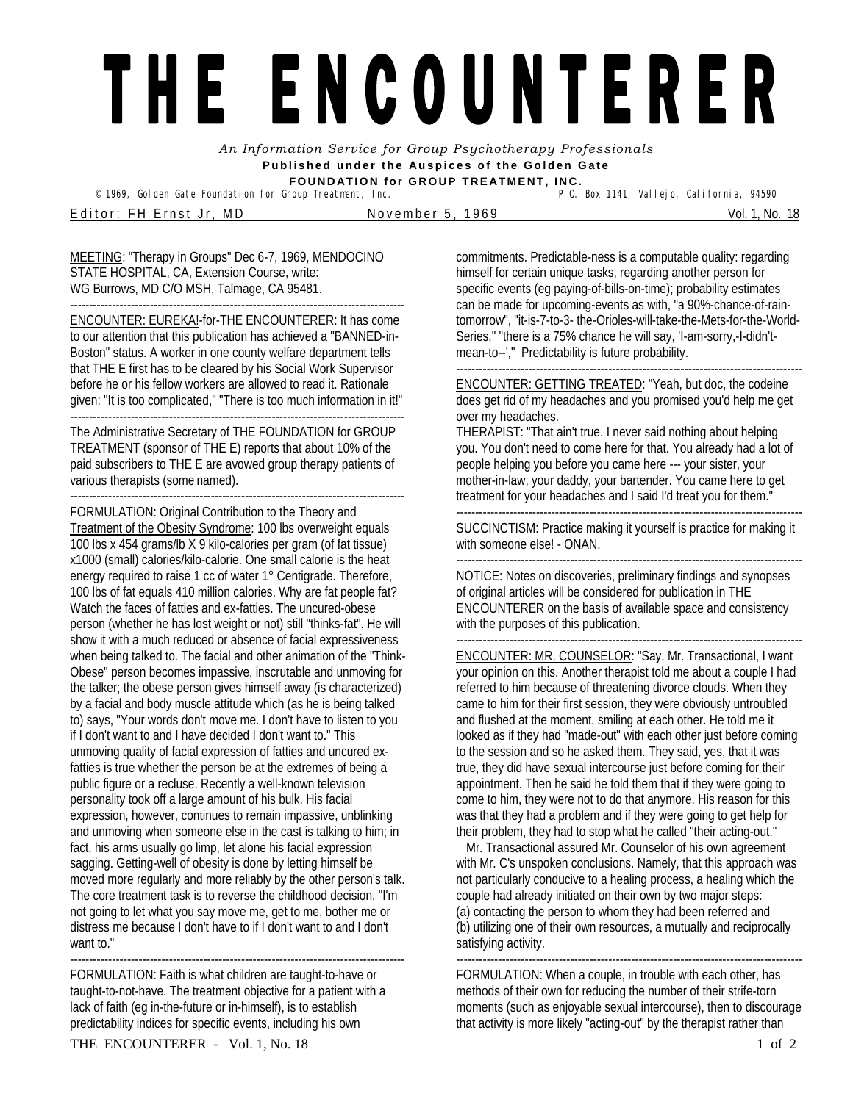## THE ENCOUNTERER

*An Information Service for Group Psychotherapy Professionals*  **Published under the Auspices of the Golden Gate FOUNDATION for GROUP TREATMENT, INC.** 

© 1969, Golden Gate Foundation for Group Treatment, Inc.

Editor: FH Ernst Jr, MD November 5, 1969 Vol. 1, No. 18

MEETING: "Therapy in Groups" Dec 6-7, 1969, MENDOCINO STATE HOSPITAL, CA, Extension Course, write: WG Burrows, MD C/O MSH, Talmage, CA 95481. ----------------------------------------------------------------------------------------

ENCOUNTER: EUREKA!-for-THE ENCOUNTERER: It has come to our attention that this publication has achieved a "BANNED-in-Boston" status. A worker in one county welfare department tells that THE E first has to be cleared by his Social Work Supervisor before he or his fellow workers are allowed to read it. Rationale given: "It is too complicated," "There is too much information in it!"

---------------------------------------------------------------------------------------- The Administrative Secretary of THE FOUNDATION for GROUP TREATMENT (sponsor of THE E) reports that about 10% of the paid subscribers to THE E are avowed group therapy patients of various therapists (some named).

---------------------------------------------------------------------------------------- FORMULATION: Original Contribution to the Theory and Treatment of the Obesity Syndrome: 100 lbs overweight equals 100 lbs x 454 grams/lb X 9 kilo-calories per gram (of fat tissue) x1000 (small) calories/kilo-calorie. One small calorie is the heat energy required to raise 1 cc of water 1° Centigrade. Therefore, 100 lbs of fat equals 410 million calories. Why are fat people fat? Watch the faces of fatties and ex-fatties. The uncured-obese person (whether he has lost weight or not) still "thinks-fat". He will show it with a much reduced or absence of facial expressiveness when being talked to. The facial and other animation of the "Think-Obese" person becomes impassive, inscrutable and unmoving for the talker; the obese person gives himself away (is characterized) by a facial and body muscle attitude which (as he is being talked to) says, "Your words don't move me. I don't have to listen to you if I don't want to and I have decided I don't want to." This unmoving quality of facial expression of fatties and uncured exfatties is true whether the person be at the extremes of being a public figure or a recluse. Recently a well-known television personality took off a large amount of his bulk. His facial expression, however, continues to remain impassive, unblinking and unmoving when someone else in the cast is talking to him; in fact, his arms usually go limp, let alone his facial expression sagging. Getting-well of obesity is done by letting himself be moved more regularly and more reliably by the other person's talk. The core treatment task is to reverse the childhood decision, "I'm not going to let what you say move me, get to me, bother me or distress me because I don't have to if I don't want to and I don't want to."

---------------------------------------------------------------------------------------- FORMULATION: Faith is what children are taught-to-have or taught-to-not-have. The treatment objective for a patient with a lack of faith (eg in-the-future or in-himself), is to establish predictability indices for specific events, including his own

commitments. Predictable-ness is a computable quality: regarding himself for certain unique tasks, regarding another person for specific events (eg paying-of-bills-on-time); probability estimates can be made for upcoming-events as with, "a 90%-chance-of-raintomorrow", "it-is-7-to-3- the-Orioles-will-take-the-Mets-for-the-World-Series," "there is a 75% chance he will say, 'I-am-sorry,-I-didn'tmean-to--'," Predictability is future probability.

-------------------------------------------------------------------------------------------

ENCOUNTER: GETTING TREATED: "Yeah, but doc, the codeine does get rid of my headaches and you promised you'd help me get over my headaches.

THERAPIST: "That ain't true. I never said nothing about helping you. You don't need to come here for that. You already had a lot of people helping you before you came here --- your sister, your mother-in-law, your daddy, your bartender. You came here to get treatment for your headaches and I said I'd treat you for them."

------------------------------------------------------------------------------------------- SUCCINCTISM: Practice making it yourself is practice for making it

with someone else! - ONAN. -------------------------------------------------------------------------------------------

NOTICE: Notes on discoveries, preliminary findings and synopses of original articles will be considered for publication in THE ENCOUNTERER on the basis of available space and consistency with the purposes of this publication.

-------------------------------------------------------------------------------------------

ENCOUNTER: MR. COUNSELOR: "Say, Mr. Transactional, I want your opinion on this. Another therapist told me about a couple I had referred to him because of threatening divorce clouds. When they came to him for their first session, they were obviously untroubled and flushed at the moment, smiling at each other. He told me it looked as if they had "made-out" with each other just before coming to the session and so he asked them. They said, yes, that it was true, they did have sexual intercourse just before coming for their appointment. Then he said he told them that if they were going to come to him, they were not to do that anymore. His reason for this was that they had a problem and if they were going to get help for their problem, they had to stop what he called "their acting-out."

Mr. Transactional assured Mr. Counselor of his own agreement with Mr. C's unspoken conclusions. Namely, that this approach was not particularly conducive to a healing process, a healing which the couple had already initiated on their own by two major steps: (a) contacting the person to whom they had been referred and (b) utilizing one of their own resources, a mutually and reciprocally satisfying activity.

------------------------------------------------------------------------------------------- FORMULATION: When a couple, in trouble with each other, has methods of their own for reducing the number of their strife-torn moments (such as enjoyable sexual intercourse), then to discourage that activity is more likely "acting-out" by the therapist rather than